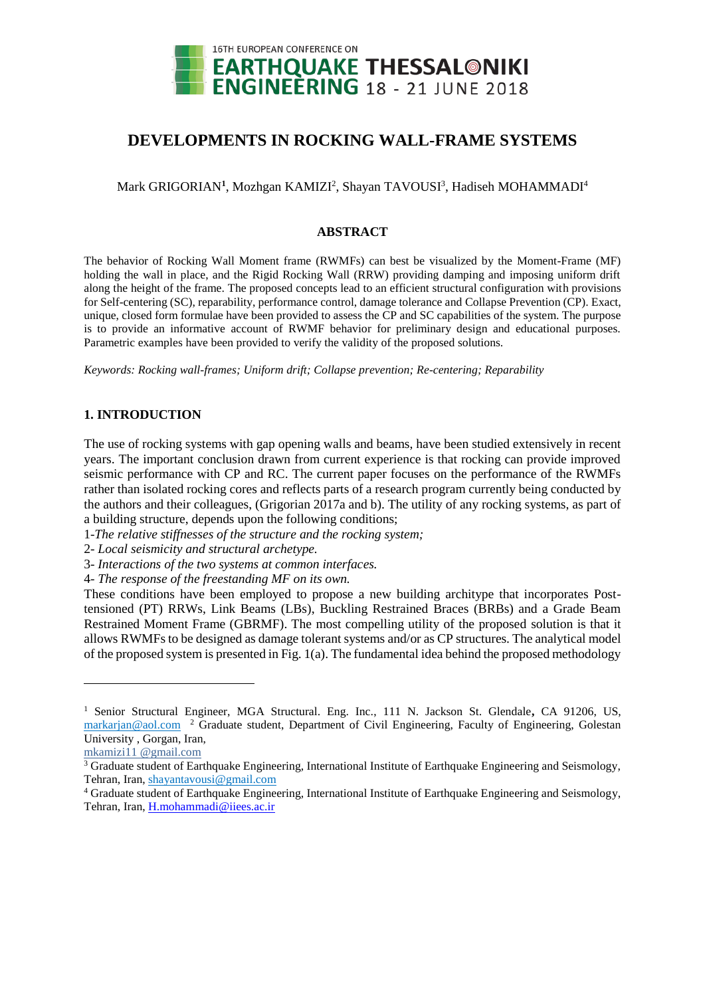

# **DEVELOPMENTS IN ROCKING WALL-FRAME SYSTEMS**

Mark GRIGORIAN<sup>1</sup>, Mozhgan KAMIZI<sup>2</sup>, Shayan TAVOUSI<sup>3</sup>, Hadiseh MOHAMMADI<sup>4</sup>

# **ABSTRACT**

The behavior of Rocking Wall Moment frame (RWMFs) can best be visualized by the Moment-Frame (MF) holding the wall in place, and the Rigid Rocking Wall (RRW) providing damping and imposing uniform drift along the height of the frame. The proposed concepts lead to an efficient structural configuration with provisions for Self-centering (SC), reparability, performance control, damage tolerance and Collapse Prevention (CP). Exact, unique, closed form formulae have been provided to assess the CP and SC capabilities of the system. The purpose is to provide an informative account of RWMF behavior for preliminary design and educational purposes. Parametric examples have been provided to verify the validity of the proposed solutions.

*Keywords: Rocking wall-frames; Uniform drift; Collapse prevention; Re-centering; Reparability*

# **1. INTRODUCTION**

The use of rocking systems with gap opening walls and beams, have been studied extensively in recent years. The important conclusion drawn from current experience is that rocking can provide improved seismic performance with CP and RC. The current paper focuses on the performance of the RWMFs rather than isolated rocking cores and reflects parts of a research program currently being conducted by the authors and their colleagues, (Grigorian 2017a and b). The utility of any rocking systems, as part of a building structure, depends upon the following conditions;

- 1-*The relative stiffnesses of the structure and the rocking system;*
- 2- *Local seismicity and structural archetype.*
- 3- *Interactions of the two systems at common interfaces.*
- 4- *The response of the freestanding MF on its own.*

These conditions have been employed to propose a new building architype that incorporates Posttensioned (PT) RRWs, Link Beams (LBs), Buckling Restrained Braces (BRBs) and a Grade Beam Restrained Moment Frame (GBRMF). The most compelling utility of the proposed solution is that it allows RWMFs to be designed as damage tolerant systems and/or as CP structures. The analytical model of the proposed system is presented in Fig. 1(a). The fundamental idea behind the proposed methodology

l

<sup>1</sup> Senior Structural Engineer, MGA Structural. Eng. Inc., 111 N. Jackson St. Glendale**,** CA 91206, US, markarjan@aol.com<sup>2</sup> Graduate student, Department of Civil Engineering, Faculty of Engineering, Golestan University , Gorgan, Iran,

mkamizi11 @gmail.com

<sup>&</sup>lt;sup>3</sup> Graduate student of Earthquake Engineering, International Institute of Earthquake Engineering and Seismology, Tehran, Iran, shayantavousi@gmail.com

<sup>4</sup> Graduate student of Earthquake Engineering, International Institute of Earthquake Engineering and Seismology, Tehran, Iran, [H.mohammadi@iiees.ac.ir](mailto:H.mohammadi@iiees.ac.ir)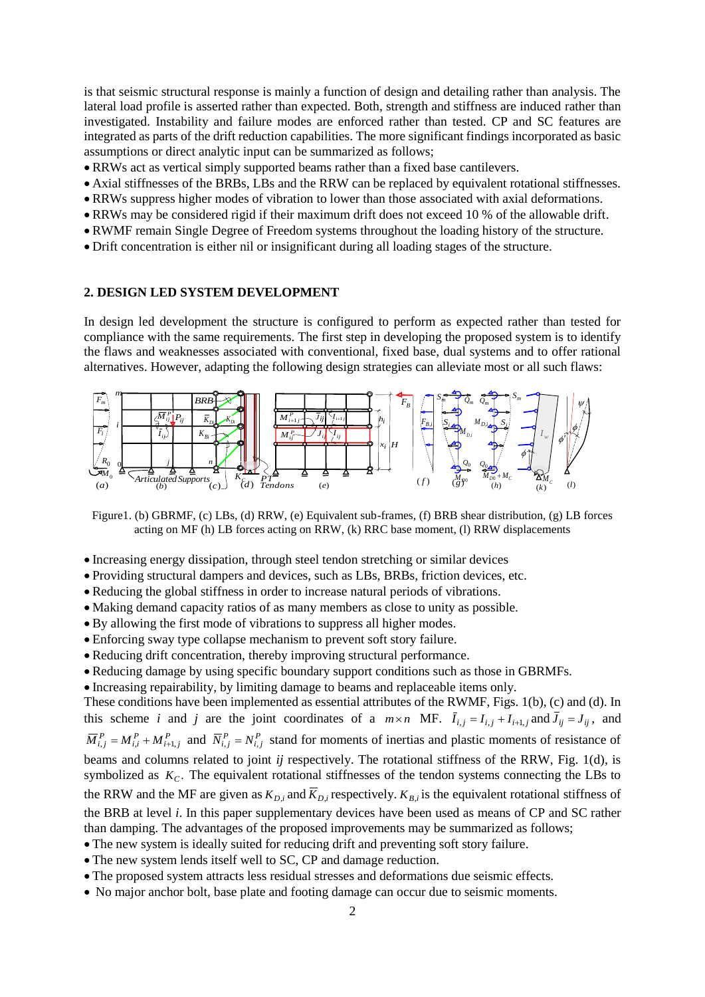is that seismic structural response is mainly a function of design and detailing rather than analysis. The lateral load profile is asserted rather than expected. Both, strength and stiffness are induced rather than investigated. Instability and failure modes are enforced rather than tested. CP and SC features are integrated as parts of the drift reduction capabilities. The more significant findings incorporated as basic assumptions or direct analytic input can be summarized as follows;

- RRWs act as vertical simply supported beams rather than a fixed base cantilevers.
- Axial stiffnesses of the BRBs, LBs and the RRW can be replaced by equivalent rotational stiffnesses.
- RRWs suppress higher modes of vibration to lower than those associated with axial deformations.
- RRWs may be considered rigid if their maximum drift does not exceed 10 % of the allowable drift.
- RWMF remain Single Degree of Freedom systems throughout the loading history of the structure.
- Drift concentration is either nil or insignificant during all loading stages of the structure.

### **2. DESIGN LED SYSTEM DEVELOPMENT**

In design led development the structure is configured to perform as expected rather than tested for compliance with the same requirements. The first step in developing the proposed system is to identify the flaws and weaknesses associated with conventional, fixed base, dual systems and to offer rational alternatives. However, adapting the following design strategies can alleviate most or all such flaws:



Figure1. (b) GBRMF, (c) LBs, (d) RRW, (e) Equivalent sub-frames, (f) BRB shear distribution, (g) LB forces acting on MF (h) LB forces acting on RRW, (k) RRC base moment, (l) RRW displacements

- Increasing energy dissipation, through steel tendon stretching or similar devices
- Providing structural dampers and devices, such as LBs, BRBs, friction devices, etc.
- Reducing the global stiffness in order to increase natural periods of vibrations.
- Making demand capacity ratios of as many members as close to unity as possible.
- By allowing the first mode of vibrations to suppress all higher modes.
- Enforcing sway type collapse mechanism to prevent soft story failure.
- Reducing drift concentration, thereby improving structural performance.
- Reducing damage by using specific boundary support conditions such as those in GBRMFs.
- Increasing repairability, by limiting damage to beams and replaceable items only.

These conditions have been implemented as essential attributes of the RWMF, Figs. 1(b), (c) and (d). In this scheme *i* and *j* are the joint coordinates of a  $m \times n$  MF.  $\bar{I}_{i,j} = I_{i,j} + I_{i+1,j}$  and  $\bar{J}_{ij} = J_{ij}$ , and  $\overline{M}_{i,j}^P = M_{i,i}^P + M_{i+1,j}^P$  and  $\overline{N}_{i,j}^P = N_{i,j}^P$  stand for moments of inertias and plastic moments of resistance of beams and columns related to joint *ij* respectively. The rotational stiffness of the RRW, Fig. 1(d), is symbolized as  $K_C$ . The equivalent rotational stiffnesses of the tendon systems connecting the LBs to the RRW and the MF are given as  $K_{D,i}$  and  $\overline{K}_{D,i}$  respectively.  $K_{B,i}$  is the equivalent rotational stiffness of the BRB at level *i*. In this paper supplementary devices have been used as means of CP and SC rather than damping. The advantages of the proposed improvements may be summarized as follows; The new system is ideally suited for reducing drift and preventing soft story failure.

- The new system lends itself well to SC, CP and damage reduction.
- The proposed system attracts less residual stresses and deformations due seismic effects.
- No major anchor bolt, base plate and footing damage can occur due to seismic moments.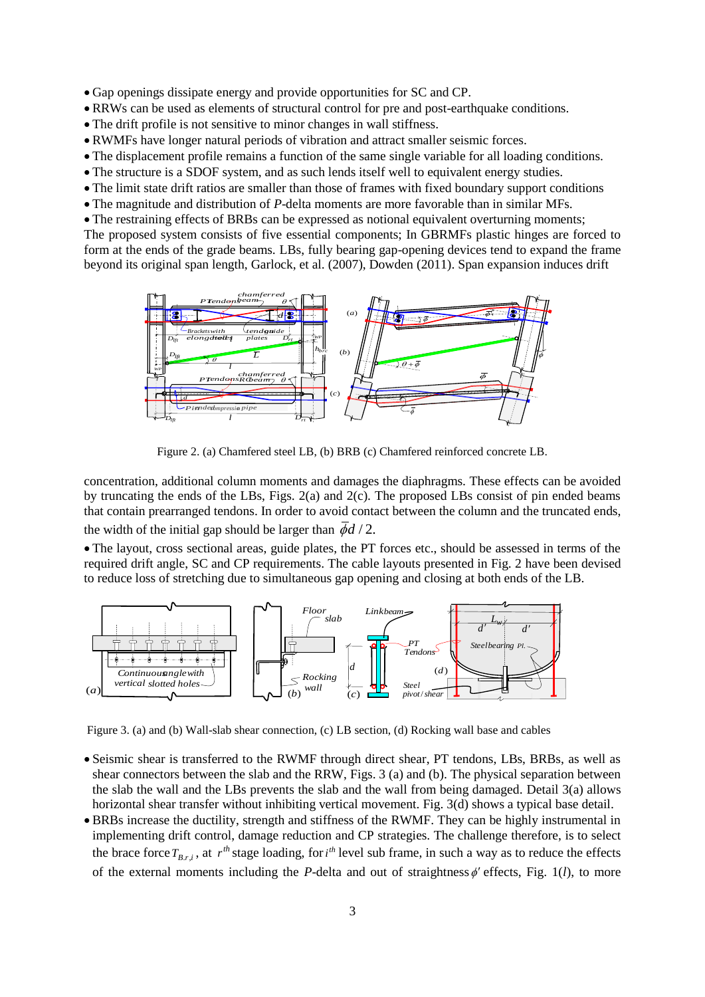- Gap openings dissipate energy and provide opportunities for SC and CP.
- RRWs can be used as elements of structural control for pre and post-earthquake conditions.
- The drift profile is not sensitive to minor changes in wall stiffness.
- RWMFs have longer natural periods of vibration and attract smaller seismic forces.
- The displacement profile remains a function of the same single variable for all loading conditions.
- The structure is a SDOF system, and as such lends itself well to equivalent energy studies.
- The limit state drift ratios are smaller than those of frames with fixed boundary support conditions
- The magnitude and distribution of *P*-delta moments are more favorable than in similar MFs.
- The restraining effects of BRBs can be expressed as notional equivalent overturning moments; The proposed system consists of five essential components; In GBRMFs plastic hinges are forced to

form at the ends of the grade beams. LBs, fully bearing gap-opening devices tend to expand the frame beyond its original span length, Garlock, et al. (2007), Dowden (2011). Span expansion induces drift



Figure 2. (a) Chamfered steel LB, (b) BRB (c) Chamfered reinforced concrete LB.

concentration, additional column moments and damages the diaphragms. These effects can be avoided by truncating the ends of the LBs, Figs. 2(a) and 2(c). The proposed LBs consist of pin ended beams that contain prearranged tendons. In order to avoid contact between the column and the truncated ends, the width of the initial gap should be larger than  $\overline{\phi}d/2$ .

 The layout, cross sectional areas, guide plates, the PT forces etc., should be assessed in terms of the required drift angle, SC and CP requirements. The cable layouts presented in Fig. 2 have been devised to reduce loss of stretching due to simultaneous gap opening and closing at both ends of the LB.



Figure 3. (a) and (b) Wall-slab shear connection, (c) LB section, (d) Rocking wall base and cables

- Seismic shear is transferred to the RWMF through direct shear, PT tendons, LBs, BRBs, as well as shear connectors between the slab and the RRW, Figs. 3 (a) and (b). The physical separation between the slab the wall and the LBs prevents the slab and the wall from being damaged. Detail 3(a) allows horizontal shear transfer without inhibiting vertical movement. Fig. 3(d) shows a typical base detail.
- BRBs increase the ductility, strength and stiffness of the RWMF. They can be highly instrumental in implementing drift control, damage reduction and CP strategies. The challenge therefore, is to select the brace force  $T_{B,r,i}$ , at  $r^{th}$  stage loading, for  $i^{th}$  level sub frame, in such a way as to reduce the effects of the external moments including the *P*-delta and out of straightness  $\phi$  effects, Fig. 1(*l*), to more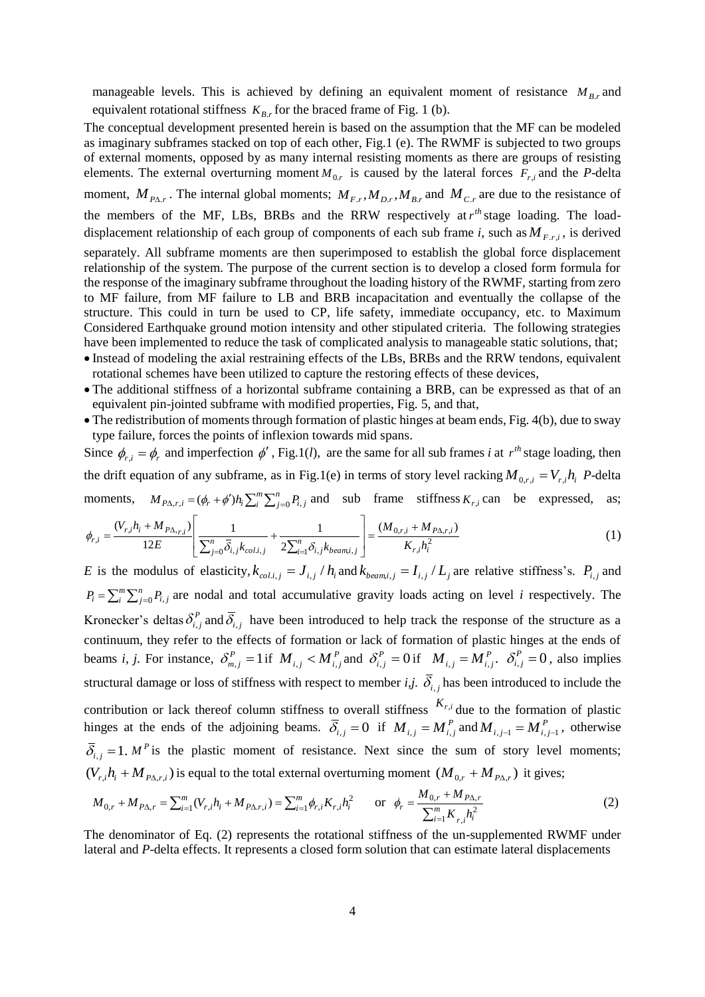manageable levels. This is achieved by defining an equivalent moment of resistance  $M_{B,r}$  and equivalent rotational stiffness  $K_{B,r}$  for the braced frame of Fig. 1 (b).

The conceptual development presented herein is based on the assumption that the MF can be modeled as imaginary subframes stacked on top of each other, Fig.1 (e). The RWMF is subjected to two groups of external moments, opposed by as many internal resisting moments as there are groups of resisting elements. The external overturning moment  $M_{0,r}$  is caused by the lateral forces  $F_{r,i}$  and the *P*-delta moment,  $M_{P\Delta,r}$ . The internal global moments;  $M_{F,r}$ ,  $M_{D,r}$ ,  $M_{B,r}$  and  $M_{C,r}$  are due to the resistance of the members of the MF, LBs, BRBs and the RRW respectively at  $r<sup>th</sup>$  stage loading. The loaddisplacement relationship of each group of components of each sub frame *i*, such as  $M_{F,r,i}$ , is derived separately. All subframe moments are then superimposed to establish the global force displacement relationship of the system. The purpose of the current section is to develop a closed form formula for the response of the imaginary subframe throughout the loading history of the RWMF, starting from zero to MF failure, from MF failure to LB and BRB incapacitation and eventually the collapse of the structure. This could in turn be used to CP, life safety, immediate occupancy, etc. to Maximum Considered Earthquake ground motion intensity and other stipulated criteria. The following strategies have been implemented to reduce the task of complicated analysis to manageable static solutions, that;

- Instead of modeling the axial restraining effects of the LBs, BRBs and the RRW tendons, equivalent rotational schemes have been utilized to capture the restoring effects of these devices,
- The additional stiffness of a horizontal subframe containing a BRB, can be expressed as that of an equivalent pin-jointed subframe with modified properties, Fig. 5, and that,
- The redistribution of moments through formation of plastic hinges at beam ends, Fig. 4(b), due to sway type failure, forces the points of inflexion towards mid spans.

Since  $\phi_{r,i} = \phi_r$  and imperfection  $\phi'$ , Fig.1(*l*), are the same for all sub frames *i* at  $r^{th}$  stage loading, then the drift equation of any subframe, as in Fig.1(e) in terms of story level racking  $M_{0,r,i} = V_{r,i}h_i$  *P*-delta moments,  $M_{P\Delta,r,i} = (\phi_r + \phi')h_i \sum_{i=1}^{m} \sum_{j=1}^{n} h_j$ *i*  $M_{P\Delta, r,i} = (\phi_r + \phi')h_i \sum_i^{m} \sum_{j=0}^{n} P_{i,j}$  and sub frame stiffness  $K_{r,i}$  can be expressed, as;

$$
\phi_{r,i} = \frac{(V_{r,i}h_i + M_{P\Delta,r,i})}{12E} \left[ \frac{1}{\sum_{j=0}^n \overline{\delta}_{i,j} k_{col,i,j}} + \frac{1}{2\sum_{i=1}^n \delta_{i,j} k_{beam,i,j}} \right] = \frac{(M_{0,r,i} + M_{P\Delta,r,i})}{K_{r,i}h_i^2}
$$
(1)

E is the modulus of elasticity,  $k_{col,i,j} = J_{i,j}/h_i$  and  $k_{beam,i,j} = I_{i,j}/L_j$  are relative stiffness's.  $P_{i,j}$  and  $=\sum_{i}^{m}\sum_{j=1}^{n}$ *i n*  $P_i = \sum_{i=0}^{m} \sum_{j=0}^{n} P_{i,j}$  are nodal and total accumulative gravity loads acting on level *i* respectively. The Kronecker's deltas  $\delta_{i,j}^P$  and  $\bar{\delta}_{i,j}$  have been introduced to help track the response of the structure as a continuum, they refer to the effects of formation or lack of formation of plastic hinges at the ends of beams *i*, *j*. For instance,  $\delta_{m,j}^P = 1$  if  $M_{i,j} < M_{i,j}^P$  and  $\delta_{i,j}^P = 0$  if  $M_{i,j} = M_{i,j}^P$ .  $\delta_{i,j}^P = 0$ , also implies structural damage or loss of stiffness with respect to member  $i,j$ .  $\delta_{i,j}$  has been introduced to include the contribution or lack thereof column stiffness to overall stiffness  $K_{r,i}$  due to the formation of plastic hinges at the ends of the adjoining beams.  $\overline{S}_{i,j} = 0$  if  $M_{i,j} = M_{i,j}^P$  and  $M_{i,j-1} = M_{i,j-1}^P$ , otherwise  $\overline{\delta}_{i,j} = 1$ . *M*<sup>*P*</sup> is the plastic moment of resistance. Next since the sum of story level moments;  $(V_{r,i}h_i + M_{P\Delta,r,i})$  is equal to the total external overturning moment  $(M_{0,r} + M_{P\Delta,r})$  it gives;

$$
M_{0,r} + M_{P\Delta,r} = \sum_{i=1}^{m} (V_{r,i}h_i + M_{P\Delta,r,i}) = \sum_{i=1}^{m} \phi_{r,i}K_{r,i}h_i^2 \qquad \text{or} \quad \phi_r = \frac{M_{0,r} + M_{P\Delta,r}}{\sum_{i=1}^{m} K_{r,i}h_i^2}
$$
(2)

The denominator of Eq. (2) represents the rotational stiffness of the un-supplemented RWMF under lateral and *P*-delta effects. It represents a closed form solution that can estimate lateral displacements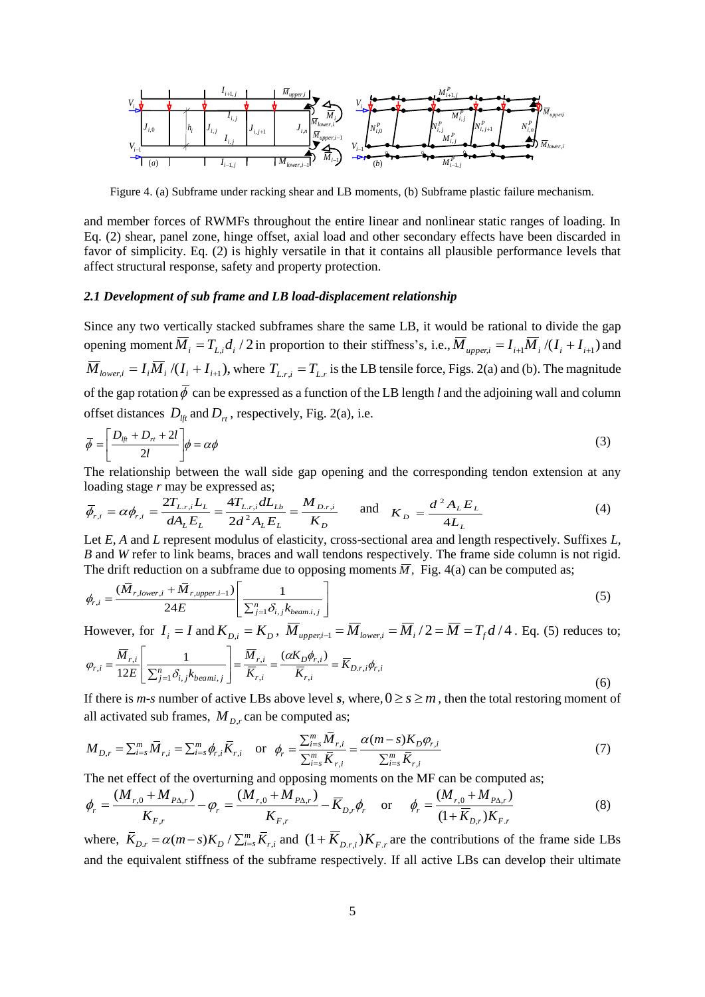

Figure 4. (a) Subframe under racking shear and LB moments, (b) Subframe plastic failure mechanism.

and member forces of RWMFs throughout the entire linear and nonlinear static ranges of loading. In Eq. (2) shear, panel zone, hinge offset, axial load and other secondary effects have been discarded in favor of simplicity. Eq. (2) is highly versatile in that it contains all plausible performance levels that affect structural response, safety and property protection.

### *2.1 Development of sub frame and LB load-displacement relationship*

Since any two vertically stacked subframes share the same LB, it would be rational to divide the gap opening moment  $\overline{M}_i = T_{L,i}d_i/2$  in proportion to their stiffness's, i.e.,  $\overline{M}_{upper,i} = I_{i+1}\overline{M}_i/(I_i + I_{i+1})$  and  $\overline{M}_{lower,i} = I_i \overline{M}_i / (I_i + I_{i+1})$ , where  $T_{L,r,i} = T_{L,r}$  is the LB tensile force, Figs. 2(a) and (b). The magnitude of the gap rotation  $\phi$  can be expressed as a function of the LB length *l* and the adjoining wall and column offset distances  $D_{\text{lf}}$  and  $D_{\text{rf}}$ , respectively, Fig. 2(a), i.e.

$$
\overline{\phi} = \left[ \frac{D_{i\mu} + D_{i\mu} + 2l}{2l} \right] \phi = \alpha \phi
$$
\n(3)

The relationship between the wall side gap opening and the corresponding tendon extension at any loading stage *r* may be expressed as;

$$
\overline{\phi}_{r,i} = \alpha \phi_{r,i} = \frac{2T_{L,r,i}L_L}{dA_L E_L} = \frac{4T_{L,r,i}dL_{Lb}}{2d^2 A_L E_L} = \frac{M_{D,r,i}}{K_D} \quad \text{and} \quad K_D = \frac{d^2 A_L E_L}{4L_L} \tag{4}
$$

Let *E*, *A* and *L* represent modulus of elasticity, cross-sectional area and length respectively. Suffixes *L*, *B* and *W* refer to link beams, braces and wall tendons respectively. The frame side column is not rigid.

The drift reduction on a subframe due to opposing moments 
$$
\overline{M}
$$
, Fig. 4(a) can be computed as;  
\n
$$
\phi_{r,i} = \frac{(\overline{M}_{r,lower,i} + \overline{M}_{r,upper,i-1})}{24E} \left[ \frac{1}{\sum_{j=1}^{n} \delta_{i,j} k_{beam,i,j}} \right]
$$
\n(5)

However, for  $I_i = I$  and  $K_{D,i} = K_D$ ,  $\overline{M}_{upper,i-1} = \overline{M}_{lower,i} = \overline{M}_i/2 = \overline{M} = T_f d/4$ . Eq. (5) reduces to;

$$
\varphi_{r,i} = \frac{\overline{M}_{r,i}}{12E} \left[ \frac{1}{\sum_{j=1}^{n} \delta_{i,j} k_{beami,j}} \right] = \frac{\overline{M}_{r,i}}{\overline{K}_{r,i}} = \frac{(\alpha K_D \phi_{r,i})}{\overline{K}_{r,i}} = \overline{K}_{D,r,i} \phi_{r,i}
$$
\n(6)

If there is *m*-*s* number of active LBs above level *s*, where,  $0 \ge s \ge m$ , then the total restoring moment of all activated sub frames,  $M_{D,r}$  can be computed as;

$$
M_{D,r} = \sum_{i=s}^{m} \overline{M}_{r,i} = \sum_{i=s}^{m} \phi_{r,i} \overline{K}_{r,i} \quad \text{or} \quad \phi_r = \frac{\sum_{i=s}^{m} \overline{M}_{r,i}}{\sum_{i=s}^{m} \overline{K}_{r,i}} = \frac{\alpha(m-s)K_D \phi_{r,i}}{\sum_{i=s}^{m} \overline{K}_{r,i}} \tag{7}
$$

The net effect of the overturning and opposing moments on the MF can be computed as;

$$
\phi_r = \frac{(M_{r,0} + M_{P\Delta,r})}{K_{F,r}} - \varphi_r = \frac{(M_{r,0} + M_{P\Delta,r})}{K_{F,r}} - \overline{K}_{D,r}\phi_r \quad \text{or} \quad \phi_r = \frac{(M_{r,0} + M_{P\Delta,r})}{(1 + \overline{K}_{D,r})K_{F,r}}
$$
(8)

where,  $\overline{K}_{D,r} = \alpha(m-s)K_D / \sum_{i=s}^{m} \overline{K}_{r,i}$  and  $(1 + \overline{K}_{D,r,i})K_{F,r}$  are the contributions of the frame side LBs and the equivalent stiffness of the subframe respectively. If all active LBs can develop their ultimate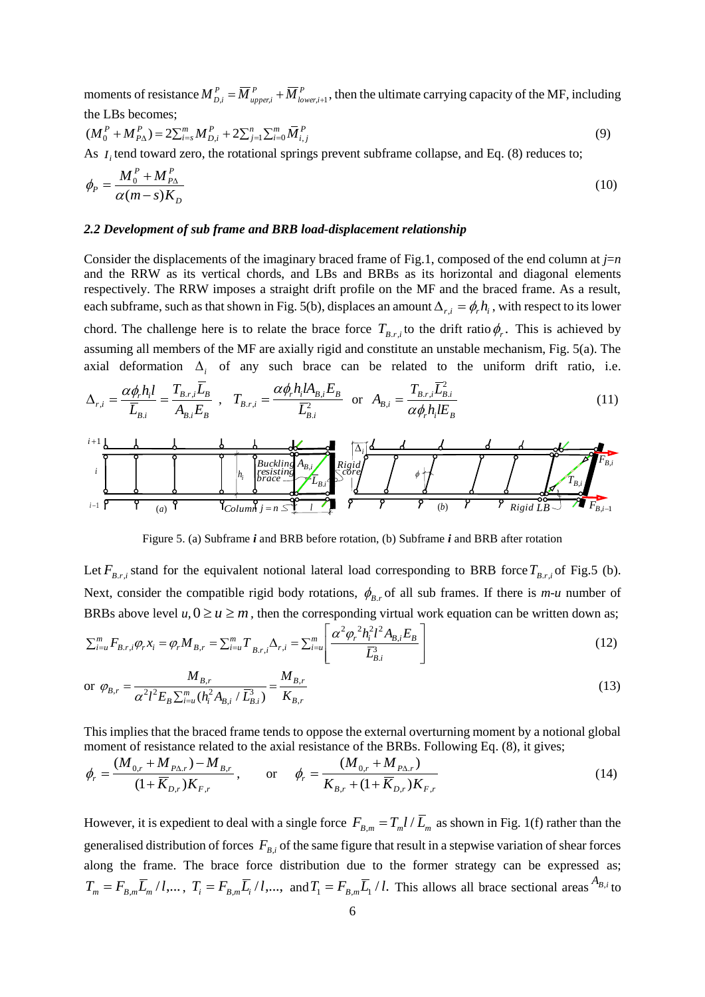moments of resistance  $M_{Di}^P = \overline{M}_{unperi}^P + \overline{M}_{Io}^P$ *lower i P*  $M_{D,i}^P = \overline{M}_{upper,i}^P + \overline{M}_{lower,i+1}^P$ , then the ultimate carrying capacity of the MF, including

the LBs becomes;  
\n
$$
(M_0^P + M_{P\Delta}^P) = 2\sum_{i=s}^m M_{D,i}^P + 2\sum_{j=1}^n \sum_{i=0}^m \overline{M}_{i,j}^P
$$
\n(9)

As  $I_i$  tend toward zero, the rotational springs prevent subframe collapse, and Eq. (8) reduces to;

$$
\phi_P = \frac{M_0^P + M_{P_\Delta}^P}{\alpha (m - s) K_D} \tag{10}
$$

### *2.2 Development of sub frame and BRB load-displacement relationship*

Consider the displacements of the imaginary braced frame of Fig.1, composed of the end column at *j*=*n* and the RRW as its vertical chords, and LBs and BRBs as its horizontal and diagonal elements respectively. The RRW imposes a straight drift profile on the MF and the braced frame. As a result, each subframe, such as that shown in Fig. 5(b), displaces an amount  $\Delta_{r,i} = \phi_r h_i$ , with respect to its lower chord. The challenge here is to relate the brace force  $T_{B,r,i}$  to the drift ratio  $\phi_r$ . This is achieved by assuming all members of the MF are axially rigid and constitute an unstable mechanism, Fig. 5(a). The axial deformation  $\Delta_i$  of any such brace can be related to the uniform drift ratio, i.e.

$$
\Delta_{r,i} = \frac{\alpha \phi_r h_i l}{\overline{L}_{B,i}} = \frac{T_{B,r,i} \overline{L}_B}{A_{B,i} E_B} , \quad T_{B,r,i} = \frac{\alpha \phi_r h_i l A_{B,i} E_B}{\overline{L}_{B,i}^2} \quad \text{or} \quad A_{B,i} = \frac{T_{B,r,i} \overline{L}_{B,i}^2}{\alpha \phi_r h_i l E_B}
$$
\n
$$
(11)
$$

*i* 1 *brace j n Buckling resisting Rigid core Rigid* (*a*) *Column LB <sup>A</sup>B*,*<sup>i</sup>* (*b*) *<sup>i</sup> h i LB*.*<sup>i</sup> TB*,*<sup>i</sup> FB*,*i*<sup>1</sup> *FB*,*<sup>i</sup> l i i* 1

Figure 5. (a) Subframe *i* and BRB before rotation, (b) Subframe *i* and BRB after rotation

Let  $F_{B,r,i}$  stand for the equivalent notional lateral load corresponding to BRB force  $T_{B,r,i}$  of Fig.5 (b). Next, consider the compatible rigid body rotations,  $\phi_{B,r}$  of all sub frames. If there is *m-u* number of BRBs above level  $u, 0 \ge u \ge m$ , then the corresponding virtual work equation can be written down as;<br>  $\sum_{i=1}^{m} F_{n,i} \varphi_{i} x_{i} = \varphi_{i} M_{B,r} = \sum_{i=1}^{m} T_{n,i} \Delta_{r,i} = \sum_{i=1}^{m} \left[ \frac{\alpha^{2} \varphi_{i}^{2} h_{i}^{2} l^{2} A_{B,i} E_{B}}{\sqrt{m}} \right]$  sponding virt<br>sponding virt<br> $\alpha^2 \varphi_r^2 h_i^2 l^2 A_{B_1}$ ations,  $\varphi_{B,r}$  or all sub-trames<br>esponding virtual work equat<br> $\left[ \alpha^2 \varphi_r^2 h_i^2 l^2 A_{B,i} E_B \right]$ 

BRBs above level 
$$
u, 0 \ge u \ge m
$$
, then the corresponding virtual work equation can be written down as;  
\n
$$
\sum_{i=u}^{m} F_{B,r,i} \varphi_r x_i = \varphi_r M_{B,r} = \sum_{i=u}^{m} \left[ \frac{\alpha^2 \varphi_r^2 h_i^2 l^2 A_{B,i} E_B}{\overline{L}_{B,i}^3} \right]
$$
\n(12)  
\n
$$
\alpha_r \varphi_r = \frac{M_{B,r}}{\overline{L}_{B,i}^3} \qquad \qquad (13)
$$

or 
$$
\varphi_{B,r} = \frac{M_{B,r}}{\alpha^2 l^2 E_B \sum_{i=u}^m (h_i^2 A_{B,i} / \overline{L}_{B,i}^3)} = \frac{M_{B,r}}{K_{B,r}}
$$
 (13)

This implies that the braced frame tends to oppose the external overturning moment by a notional global moment of resistance related to the axial resistance of the BRBs. Following Eq.  $(8)$ , it gives;

$$
\phi_r = \frac{(M_{0,r} + M_{P\Delta,r}) - M_{B,r}}{(1 + \overline{K}_{D,r})K_{F,r}}, \quad \text{or} \quad \phi_r = \frac{(M_{0,r} + M_{P\Delta,r})}{K_{B,r} + (1 + \overline{K}_{D,r})K_{F,r}}
$$
(14)

However, it is expedient to deal with a single force  $F_{B,m} = T_m l / \overline{L}_m$  as shown in Fig. 1(f) rather than the generalised distribution of forces  $F_{B,i}$  of the same figure that result in a stepwise variation of shear forces along the frame. The brace force distribution due to the former strategy can be expressed as;  $T_m = F_{B,m} \overline{L}_m / l, \ldots, T_i = F_{B,m} \overline{L}_i / l, \ldots, \text{ and } T_1 = F_{B,m} \overline{L}_1 / l.$  This allows all brace sectional areas  $A_{B,i}$  to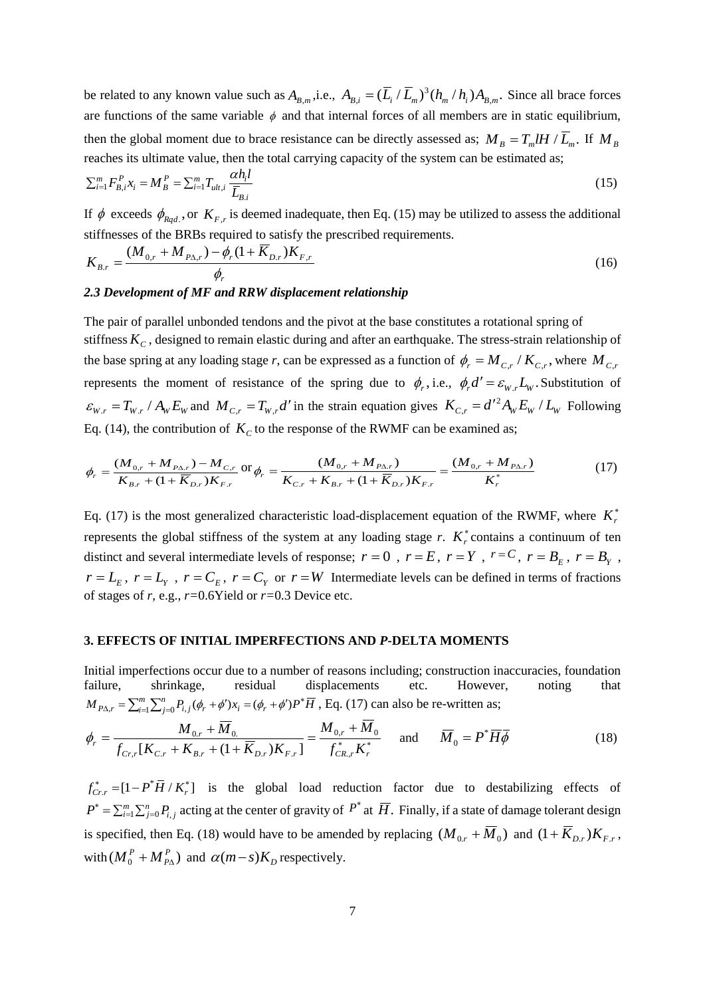be related to any known value such as  $A_{B,m}$ , i.e.,  $A_{B,i} = (\overline{L}_i / \overline{L}_m)^3 (h_m / h_i) A_{B,m}$ . Since all brace forces are functions of the same variable  $\phi$  and that internal forces of all members are in static equilibrium, then the global moment due to brace resistance can be directly assessed as;  $M_B = T_m l H / \overline{L}_m$ . If  $M_B$ 

reaches its ultimate value, then the total carrying capacity of the system can be estimated as;  
\n
$$
\sum_{i=1}^{m} F_{B,i}^{P} x_i = M_B^{P} = \sum_{i=1}^{m} T_{ult,i} \frac{\alpha h_i l}{\overline{L}_{B,i}}
$$
\n(15)

If  $\phi$  exceeds  $\phi_{Rqd}$ , or  $K_{F,r}$  is deemed inadequate, then Eq. (15) may be utilized to assess the additional stiffnesses of the BRBs required to satisfy the prescribed requirements.

$$
K_{B,r} = \frac{(M_{0,r} + M_{P\Delta,r}) - \phi_r (1 + \overline{K}_{D,r}) K_{F,r}}{\phi_r}
$$
\n(16)

### *2.3 Development of MF and RRW displacement relationship*

The pair of parallel unbonded tendons and the pivot at the base constitutes a rotational spring of stiffness  $K_C$ , designed to remain elastic during and after an earthquake. The stress-strain relationship of the base spring at any loading stage *r*, can be expressed as a function of  $\phi_r = M_{C,r}/K_{C,r}$ , where  $M_{C,r}$ represents the moment of resistance of the spring due to  $\phi_r$ , i.e.,  $\phi_r d' = \varepsilon_{w_r} L_w$ . Substitution of  $\varepsilon_{W,r} = T_{W,r}/A_W E_W$  and  $M_{C,r} = T_{W,r}d'$  in the strain equation gives  $K_{C,r} = d'^2 A_W E_W / L_W$  $E_{\nu,r} = d'^2 A_w E_w / L_w$  Following Eq. (14), the contribution of  $K_c$  to the response of the RWMF can be examined as;

$$
\phi_r = \frac{(M_{0,r} + M_{P\Delta,r}) - M_{C,r}}{K_{B,r} + (1 + \overline{K}_{D,r})K_{F,r}} \text{ or } \phi_r = \frac{(M_{0,r} + M_{P\Delta,r})}{K_{C,r} + K_{B,r} + (1 + \overline{K}_{D,r})K_{F,r}} = \frac{(M_{0,r} + M_{P\Delta,r})}{K_r^*}
$$
(17)

Eq. (17) is the most generalized characteristic load-displacement equation of the RWMF, where  $K_r^*$ represents the global stiffness of the system at any loading stage  $r$ .  $K_r^*$  contains a continuum of ten distinct and several intermediate levels of response;  $r = 0$ ,  $r = E$ ,  $r = Y$ ,  $r = C$ ,  $r = B<sub>E</sub>$ ,  $r = B<sub>y</sub>$ ,  $r = L_E$ ,  $r = L_Y$ ,  $r = C_E$ ,  $r = C_Y$  or  $r = W$  Intermediate levels can be defined in terms of fractions of stages of *r,* e.g., *r=*0.6Yield or *r=*0.3 Device etc.

### **3. EFFECTS OF INITIAL IMPERFECTIONS AND** *P***-DELTA MOMENTS**

Initial imperfections occur due to a number of reasons including; construction inaccuracies, foundation failure, shrinkage, residual displacements etc. However, noting that  $M_{P\Delta,r} = \sum_{i=1}^{m} \sum_{j=0}^{n} P_{i,j}(\phi_r + \phi')x_i = (\phi_r + \phi')P^* \overline{H}$ , Eq. (17) can also be re-written as;

$$
\phi_r = \frac{M_{0,r} + \overline{M}_0}{f_{Cr,r}[K_{C,r} + K_{B,r} + (1 + \overline{K}_{D,r})K_{F,r}]} = \frac{M_{0,r} + \overline{M}_0}{f_{CR,r}^*K_r^*} \quad \text{and} \quad \overline{M}_0 = P^* \overline{H} \overline{\phi}
$$
(18)

 $f_{Cr, r}^* = [1 - P^* \overline{H} / K_r^*]$  is the global load reduction factor due to destabilizing effects of  $P^* = \sum_{i=1}^m \sum_{j=0}^n P_{i,j}$  acting at the center of gravity of  $P^*$  at  $\overline{H}$ . Finally, if a state of damage tolerant design is specified, then Eq. (18) would have to be amended by replacing  $(M_{0,r} + \overline{M}_0)$  and  $(1 + \overline{K}_{D,r})K_{F,r}$ , with  $(M_0^P + M_{P\Delta}^P)$  $M_0^P + M_{P\Lambda}^P$ ) and  $\alpha(m-s)K_D$  respectively.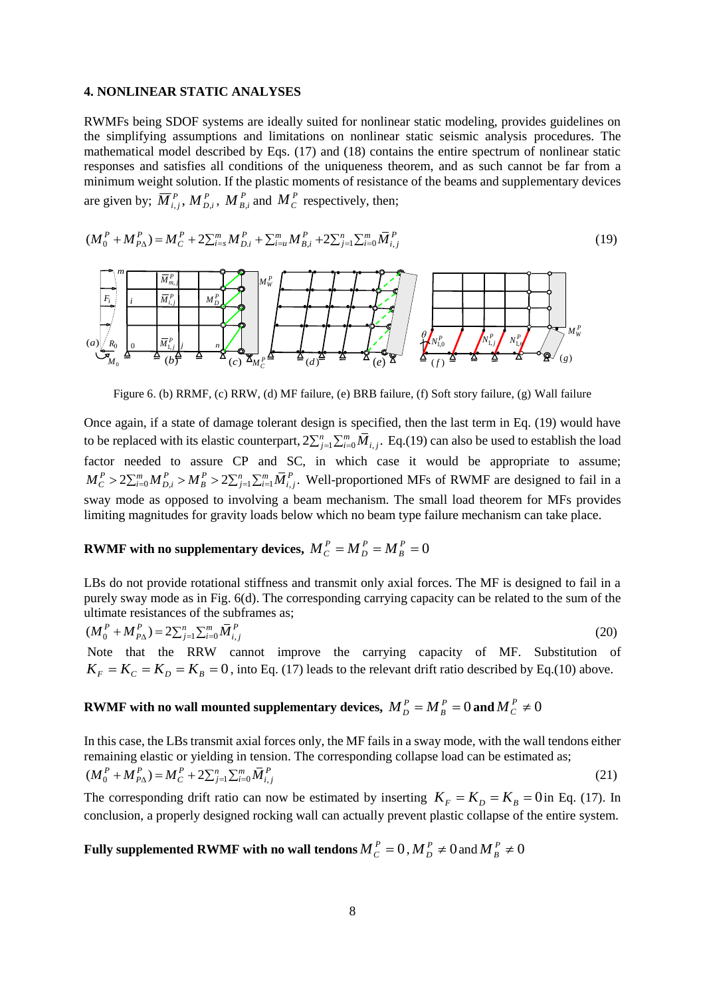### **4. NONLINEAR STATIC ANALYSES**

RWMFs being SDOF systems are ideally suited for nonlinear static modeling, provides guidelines on the simplifying assumptions and limitations on nonlinear static seismic analysis procedures. The mathematical model described by Eqs. (17) and (18) contains the entire spectrum of nonlinear static responses and satisfies all conditions of the uniqueness theorem, and as such cannot be far from a minimum weight solution. If the plastic moments of resistance of the beams and supplementary devices

are given by; 
$$
\overline{M}_{i,j}^P
$$
,  $M_{D,i}^P$ ,  $M_{B,i}^P$  and  $M_C^P$  respectively, then;  
\n
$$
(M_0^P + M_{P\Delta}^P) = M_C^P + 2\sum_{i=s}^m M_{D,i}^P + \sum_{i=u}^m M_{B,i}^P + 2\sum_{j=1}^n \sum_{i=0}^m \overline{M}_{i,j}^P
$$
\n(19)



Figure 6. (b) RRMF, (c) RRW, (d) MF failure, (e) BRB failure, (f) Soft story failure, (g) Wall failure

Once again, if a state of damage tolerant design is specified, then the last term in Eq. (19) would have to be replaced with its elastic counterpart,  $2\sum_{j=1}^n\sum_{i=0}^m\overline{M}_{i,j}$ . Eq.(19) can also be used to establish the load factor needed to assure CP and SC, in which case it would be appropriate to assume; factor needed to assure CP and SC, in which case it would be appropriate to assume;<br> $M_C^P > 2\sum_{i=0}^m M_{D,i}^P > M_B^P > 2\sum_{j=1}^n \sum_{i=1}^m \overline{M}_{i,j}^P$ . Well-proportioned MFs of RWMF are designed to fail in a sway mode as opposed to involving a beam mechanism. The small load theorem for MFs provides limiting magnitudes for gravity loads below which no beam type failure mechanism can take place.

#### **RWMF** with no supplementary devices,  $M_C^P = M_D^P = M_R^P = 0$ *B P*  $M_C^P = M_D^P = M$

LBs do not provide rotational stiffness and transmit only axial forces. The MF is designed to fail in a purely sway mode as in Fig. 6(d). The corresponding carrying capacity can be related to the sum of the

ultimate resistances of the subframes as;  
\n
$$
(M_0^P + M_{P\Delta}^P) = 2\sum_{j=1}^n \sum_{i=0}^m \overline{M}_{i,j}^P
$$
\n(20)  
\nNote that the RRW cannot improve the carrying capacity of MF. Substitution of

 $K_F = K_C = K_D = K_B = 0$ , into Eq. (17) leads to the relevant drift ratio described by Eq. (10) above.

### **RWMF** with no wall mounted supplementary devices,  $M_{D}^{P} = M_{B}^{P} = 0$  $M_{D}^{P} = M_{B}^{P} = 0$  and  $M_{C}^{P} \neq 0$

In this case, the LBs transmit axial forces only, the MF fails in a sway mode, with the wall tendons either remaining elastic or yielding in tension. The corresponding collapse load can be estimated as;  $(M_0^P + M_{P\Delta}^P) = M_C^P + 2\sum_{i=1}^n \sum_{i=0}^m \overline{M}_{i,i}^P$ (21)

The corresponding drift ratio can now be estimated by inserting  $K_F = K_D = K_B = 0$  in Eq. (17). In conclusion, a properly designed rocking wall can actually prevent plastic collapse of the entire system.

**Fully supplemented RWMF with no wall tendons**  $M_C^P = 0$  **,**  $M_D^P \neq 0$  **and**  $M_B^P \neq 0$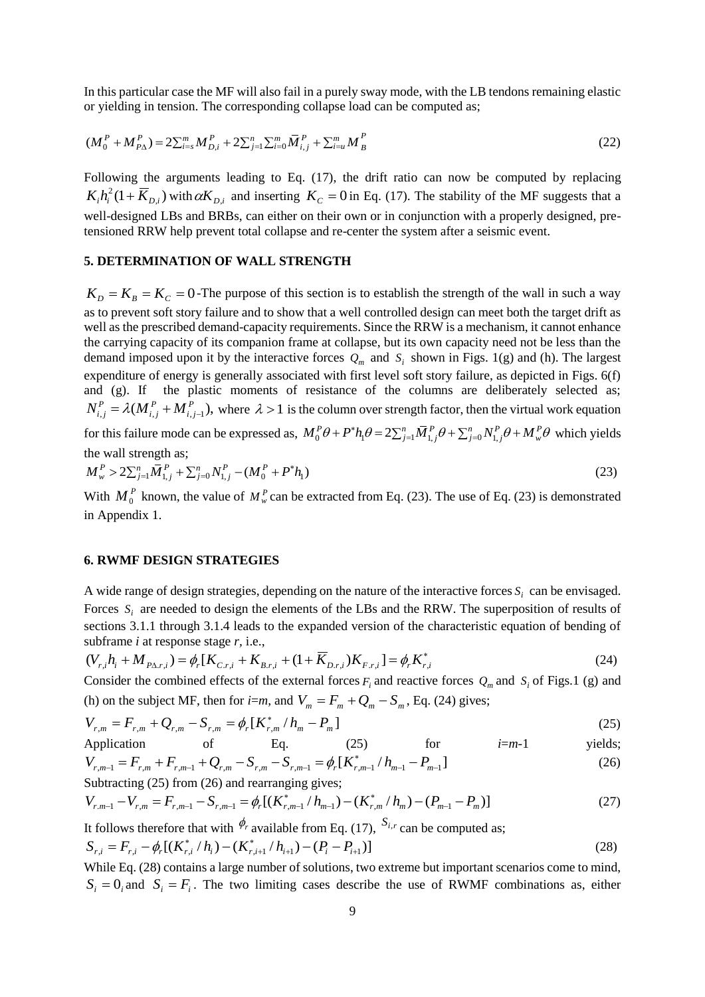In this particular case the MF will also fail in a purely sway mode, with the LB tendons remaining elastic or yielding in tension. The corresponding collapse load can be computed as;

$$
(M_0^P + M_{PA}^P) = 2\sum_{i=1}^m M_{D,i}^P + 2\sum_{j=1}^n \sum_{i=0}^m \overline{M}_{i,j}^P + \sum_{i=u}^m M_B^P
$$
 (22)

Following the arguments leading to Eq. (17), the drift ratio can now be computed by replacing  $K_i h_i^2 (1 + \overline{K}_{D,i})$  with  $\alpha K_{D,i}$  and inserting  $K_C = 0$  in Eq. (17). The stability of the MF suggests that a well-designed LBs and BRBs, can either on their own or in conjunction with a properly designed, pretensioned RRW help prevent total collapse and re-center the system after a seismic event.

## **5. DETERMINATION OF WALL STRENGTH**

 $K_D = K_B = K_C = 0$ -The purpose of this section is to establish the strength of the wall in such a way as to prevent soft story failure and to show that a well controlled design can meet both the target drift as well as the prescribed demand-capacity requirements. Since the RRW is a mechanism, it cannot enhance the carrying capacity of its companion frame at collapse, but its own capacity need not be less than the demand imposed upon it by the interactive forces  $Q_m$  and  $S_i$  shown in Figs. 1(g) and (h). The largest expenditure of energy is generally associated with first level soft story failure, as depicted in Figs. 6(f) and (g). If the plastic moments of resistance of the columns are deliberately selected as;  $P_{i,j}^P = \lambda (M_{i,j}^P + M_{i,j-1}^P),$ *P i j P*  $N_{i,j}^P = \lambda(M_{i,j}^P + M_{i,j-1}^P)$ , where  $\lambda > 1$  is the column over strength factor, then the virtual work equation  $N_{i,j}^r = \lambda (M_{i,j}^r + M_{i,j-1}^r)$ , where  $\lambda > 1$  is the column over strength factor, then the virtual work e<br>for this failure mode can be expressed as,  $M_0^P \theta + P^* h_1 \theta = 2 \sum_{j=1}^n \overline{M}_{1,j}^P \theta + \sum_{j=0}^n N_{1,j}^P \theta + M_w^P \theta$  w ,\* lumn over strength factor, then the virtual work equation<br>+  $P^*h_1\theta = 2\sum_{j=1}^n \overline{M}_{1,j}^P \theta + \sum_{j=0}^n N_{1,j}^P \theta + M_w^P \theta$  which yields

the wall strength as;  
\n
$$
M_w^P > 2\sum_{j=1}^n \overline{M}_{1,j}^P + \sum_{j=0}^n N_{1,j}^P - (M_0^P + P^*h_1)
$$
\n(23)

With  $M_0^P$  known, the value of  $M_w^P$  can be extracted from Eq. (23). The use of Eq. (23) is demonstrated in Appendix 1.

### **6. RWMF DESIGN STRATEGIES**

A wide range of design strategies, depending on the nature of the interactive forces  $S_i$  can be envisaged. Forces  $S_i$  are needed to design the elements of the LBs and the RRW. The superposition of results of sections 3.1.1 through 3.1.4 leads to the expanded version of the characteristic equation of bending of subframe *i* at response stage *r,* i.e.,

$$
(V_{r,i}h_i + M_{P\Delta r,i}) = \phi_r[K_{C,r,i} + K_{B,r,i} + (1 + \overline{K}_{D,r,i})K_{F,r,i}] = \phi_r K_{r,i}^*
$$
\n(24)

Consider the combined effects of the external forces  $F_i$  and reactive forces  $Q_m$  and  $S_i$  of Figs.1 (g) and (h) on the subject MF, then for *i*=*m*, and  $V_m = F_m + Q_m - S_m$ , Eq. (24) gives;

$$
V_{r,m} = F_{r,m} + Q_{r,m} - S_{r,m} = \phi_r [K_{r,m}^* / h_m - P_m]
$$
\n(25)

Application of Eq. (25) for 
$$
i=m-1
$$
 yields;  
\n
$$
V_{r,m-1} = F_{r,m} + F_{r,m-1} + Q_{r,m} - S_{r,m} - S_{r,m-1} = \phi_r [K_{r,m-1}^*/h_{m-1} - P_{m-1}]
$$
 (26)

Subtracting (25) from (26) and rearranging gives;  
\n
$$
V_{r,m-1} - V_{r,m} = F_{r,m-1} - S_{r,m-1} = \phi_r [(K_{r,m-1}^*/h_{m-1}) - (K_{r,m}^*/h_m) - (P_{m-1} - P_m)]
$$
\n(27)

It follows therefore that with  $\phi_r$  available from Eq. (17),  $S_{i,r}$  can be computed as; \*

 $\mathcal{L}_{i} = F_{r,i} - \phi_r[(K_{r,i}^* / h_i) - (K_{r,i+1}^* / h_{i+1}) - (P_i - P_{i+1})]$  $^{+}$  $S_{r,i} = F_{r,i} - \phi_r[(K_{r,i}^*/h_i) - (K_{r,i+1}^*/h_{i+1}) - (P_i - P_i)$ (28) While Eq. (28) contains a large number of solutions, two extreme but important scenarios come to mind,

 $S_i = 0_i$  and  $S_i = F_i$ . The two limiting cases describe the use of RWMF combinations as, either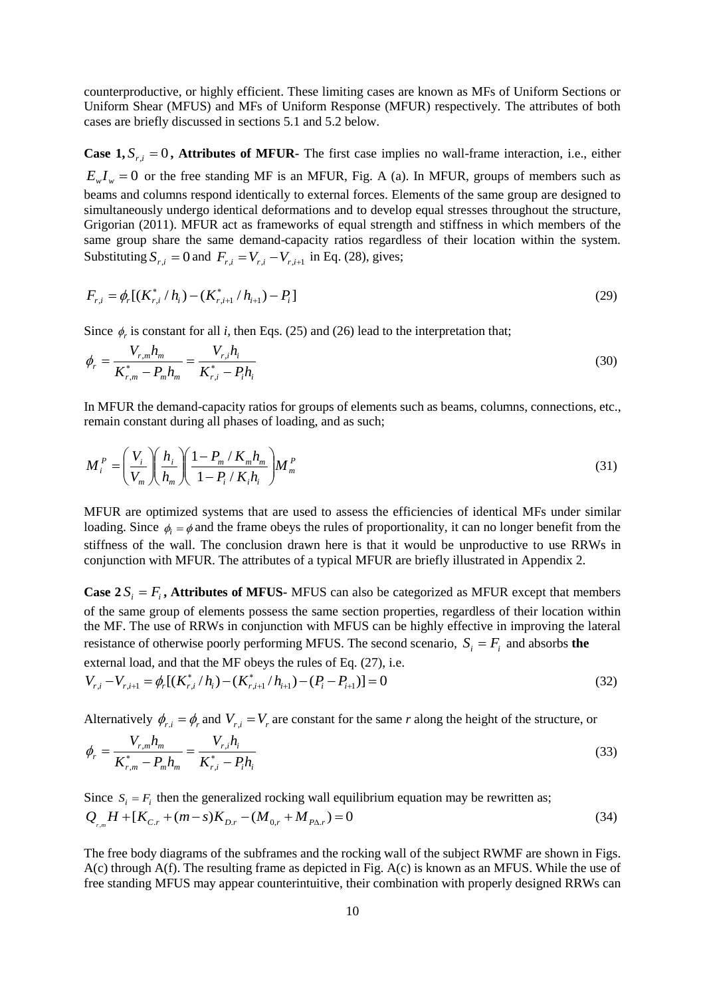counterproductive, or highly efficient. These limiting cases are known as MFs of Uniform Sections or Uniform Shear (MFUS) and MFs of Uniform Response (MFUR) respectively. The attributes of both cases are briefly discussed in sections 5.1 and 5.2 below.

**Case 1,**  $S_{r,i} = 0$ , **Attributes of MFUR-** The first case implies no wall-frame interaction, i.e., either  $E_w I_w = 0$  or the free standing MF is an MFUR, Fig. A (a). In MFUR, groups of members such as beams and columns respond identically to external forces. Elements of the same group are designed to simultaneously undergo identical deformations and to develop equal stresses throughout the structure, Grigorian (2011). MFUR act as frameworks of equal strength and stiffness in which members of the same group share the same demand-capacity ratios regardless of their location within the system. Substituting  $S_{r,i} = 0$  and  $F_{r,i} = V_{r,i} - V_{r,i+1}$  in Eq. (28), gives;

$$
F_{r,i} = \phi_r[(K_{r,i}^* / h_i) - (K_{r,i+1}^* / h_{i+1}) - P_i]
$$
\n(29)

Since  $\phi_r$  is constant for all *i*, then Eqs. (25) and (26) lead to the interpretation that;

$$
\phi_r = \frac{V_{r,m} h_m}{K_{r,m}^* - P_m h_m} = \frac{V_{r,i} h_i}{K_{r,i}^* - P_i h_i}
$$
\n(30)

In MFUR the demand-capacity ratios for groups of elements such as beams, columns, connections, etc., remain constant during all phases of loading, and as such;

$$
M_i^P = \left(\frac{V_i}{V_m}\right)\left(\frac{h_i}{h_m}\right)\left(\frac{1-P_m/K_mh_m}{1-P_i/K_ih_i}\right)M_m^P\tag{31}
$$

MFUR are optimized systems that are used to assess the efficiencies of identical MFs under similar loading. Since  $\phi_i = \phi$  and the frame obeys the rules of proportionality, it can no longer benefit from the stiffness of the wall. The conclusion drawn here is that it would be unproductive to use RRWs in conjunction with MFUR. The attributes of a typical MFUR are briefly illustrated in Appendix 2.

**Case 2** $S_i = F_i$ , **Attributes of MFUS-** MFUS can also be categorized as MFUR except that members of the same group of elements possess the same section properties, regardless of their location within the MF. The use of RRWs in conjunction with MFUS can be highly effective in improving the lateral resistance of otherwise poorly performing MFUS. The second scenario,  $S_i = F_i$  and absorbs the external load, and that the MF obeys the rules of Eq. (27), i.e.

$$
V_{r,i} - V_{r,i+1} = \phi_r \left[ \left( K_{r,i}^* / h_i \right) - \left( K_{r,i+1}^* / h_{i+1} \right) - \left( P_i - P_{i+1} \right) \right] = 0 \tag{32}
$$

Alternatively  $\phi_{r,i} = \phi_r$  and  $V_{r,i} = V_r$  are constant for the same *r* along the height of the structure, or

$$
\phi_r = \frac{V_{r,m} h_m}{K_{r,m}^* - P_m h_m} = \frac{V_{r,i} h_i}{K_{r,i}^* - P_i h_i}
$$
\n(33)

Since  $S_i = F_i$  then the generalized rocking wall equilibrium equation may be rewritten as;  $Q_{r,m}H + [K_{C,r} + (m-s)K_{D,r} - (M_{0,r} + M_{P\Delta,r})] = 0$ (34)

The free body diagrams of the subframes and the rocking wall of the subject RWMF are shown in Figs. A(c) through A(f). The resulting frame as depicted in Fig. A(c) is known as an MFUS. While the use of free standing MFUS may appear counterintuitive, their combination with properly designed RRWs can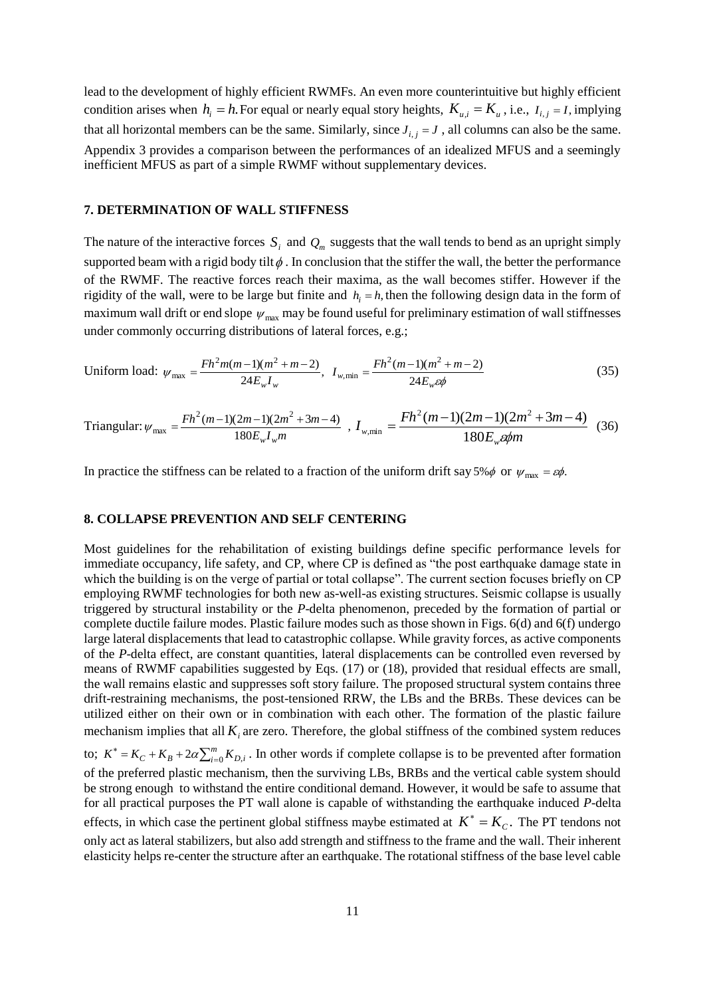lead to the development of highly efficient RWMFs. An even more counterintuitive but highly efficient condition arises when  $h_i = h$ . For equal or nearly equal story heights,  $K_{u,i} = K_u$ , i.e.,  $I_{i,j} = I$ , implying that all horizontal members can be the same. Similarly, since  $J_{i,j} = J$ , all columns can also be the same. Appendix 3 provides a comparison between the performances of an idealized MFUS and a seemingly inefficient MFUS as part of a simple RWMF without supplementary devices.

### **7. DETERMINATION OF WALL STIFFNESS**

The nature of the interactive forces  $S_i$  and  $Q_m$  suggests that the wall tends to bend as an upright simply supported beam with a rigid body tilt  $\phi$ . In conclusion that the stiffer the wall, the better the performance of the RWMF. The reactive forces reach their maxima, as the wall becomes stiffer. However if the rigidity of the wall, were to be large but finite and  $h_i = h$ , then the following design data in the form of maximum wall drift or end slope  $\psi_{\text{max}}$  may be found useful for preliminary estimation of wall stiffnesses under commonly occurring distributions of lateral forces, e.g.;

Uniform load: 
$$
\psi_{\text{max}} = \frac{Fh^2m(m-1)(m^2+m-2)}{24E_wI_w}
$$
,  $I_{w,\text{min}} = \frac{Fh^2(m-1)(m^2+m-2)}{24E_w\epsilon\phi}$  (35)

Triangular: 
$$
\psi_{\text{max}} = \frac{Fh^2(m-1)(2m-1)(2m^2+3m-4)}{180E_wI_wm}
$$
,  $I_{w,\text{min}} = \frac{Fh^2(m-1)(2m-1)(2m^2+3m-4)}{180E_w\omega m}$  (36)

In practice the stiffness can be related to a fraction of the uniform drift say 5% $\phi$  or  $\psi_{\text{max}} = \varepsilon \phi$ .

### **8. COLLAPSE PREVENTION AND SELF CENTERING**

Most guidelines for the rehabilitation of existing buildings define specific performance levels for immediate occupancy, life safety, and CP, where CP is defined as "the post earthquake damage state in which the building is on the verge of partial or total collapse". The current section focuses briefly on CP employing RWMF technologies for both new as-well-as existing structures. Seismic collapse is usually triggered by structural instability or the *P*-delta phenomenon, preceded by the formation of partial or complete ductile failure modes. Plastic failure modes such as those shown in Figs. 6(d) and 6(f) undergo large lateral displacements that lead to catastrophic collapse. While gravity forces, as active components of the *P*-delta effect, are constant quantities, lateral displacements can be controlled even reversed by means of RWMF capabilities suggested by Eqs. (17) or (18), provided that residual effects are small, the wall remains elastic and suppresses soft story failure. The proposed structural system contains three drift-restraining mechanisms, the post-tensioned RRW, the LBs and the BRBs. These devices can be utilized either on their own or in combination with each other. The formation of the plastic failure mechanism implies that all  $K_i$  are zero. Therefore, the global stiffness of the combined system reduces

to;  $K^* = K_C + K_B + 2\alpha \sum_{i=1}^m$  $K^* = K_C + K_B + 2\alpha \sum_{i=0}^m K_{D,i}$ . In other words if complete collapse is to be prevented after formation of the preferred plastic mechanism, then the surviving LBs, BRBs and the vertical cable system should be strong enough to withstand the entire conditional demand. However, it would be safe to assume that for all practical purposes the PT wall alone is capable of withstanding the earthquake induced *P*-delta effects, in which case the pertinent global stiffness maybe estimated at  $K^* = K_c$ . The PT tendons not only act as lateral stabilizers, but also add strength and stiffness to the frame and the wall. Their inherent elasticity helps re-center the structure after an earthquake. The rotational stiffness of the base level cable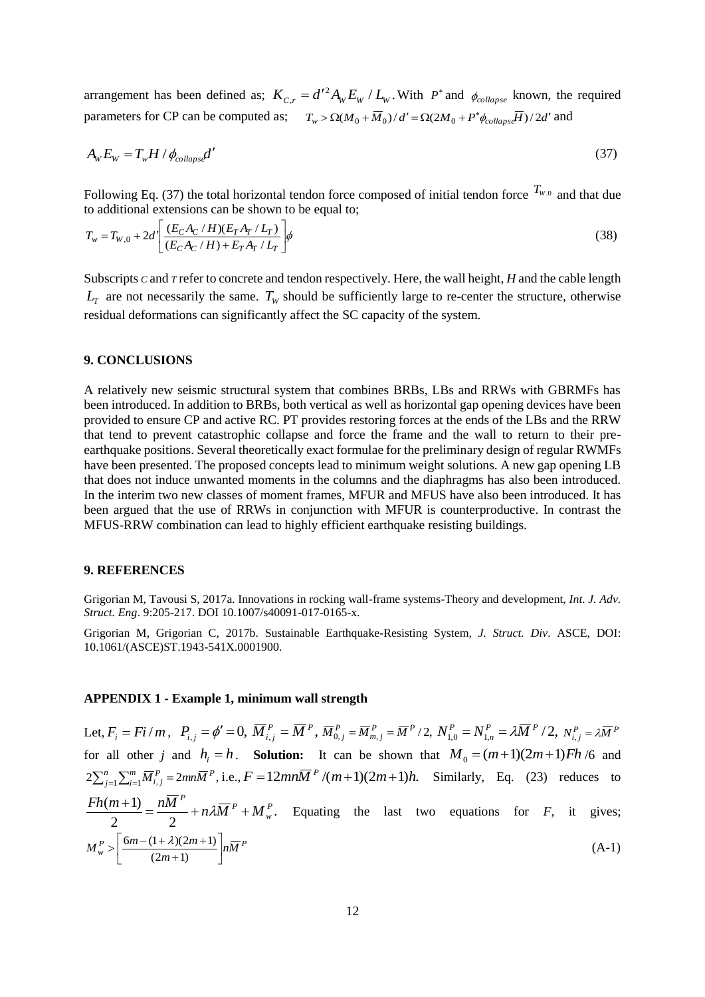arrangement has been defined as;  $K_{C,r} = d'^2 A_w E_w / L_w$ . With  $P^*$  and  $\phi_{collapse}$  known, the required parameters for CP can be computed as;  $T_w > \Omega(M_0 + \overline{M}_0)/d' = \Omega(2M_0 + P^* \phi_{collaps} \overline{H})/2d'$  and

$$
A_{\rm W} E_{\rm W} = T_{\rm W} H / \phi_{collaps} d' \tag{37}
$$

Following Eq. (37) the total horizontal tendon force composed of initial tendon force  $T_{W,0}$  and that due to additional extensions can be shown to be equal to;

$$
T_w = T_{W,0} + 2d' \left[ \frac{(E_C A_C / H)(E_T A_T / L_T)}{(E_C A_C / H) + E_T A_T / L_T} \right] \phi
$$
\n(38)

Subscripts *C* and *T* refer to concrete and tendon respectively. Here, the wall height, *H* and the cable length  $L_T$  are not necessarily the same.  $T_W$  should be sufficiently large to re-center the structure, otherwise residual deformations can significantly affect the SC capacity of the system.

### **9. CONCLUSIONS**

A relatively new seismic structural system that combines BRBs, LBs and RRWs with GBRMFs has been introduced. In addition to BRBs, both vertical as well as horizontal gap opening devices have been provided to ensure CP and active RC. PT provides restoring forces at the ends of the LBs and the RRW that tend to prevent catastrophic collapse and force the frame and the wall to return to their preearthquake positions. Several theoretically exact formulae for the preliminary design of regular RWMFs have been presented. The proposed concepts lead to minimum weight solutions. A new gap opening LB that does not induce unwanted moments in the columns and the diaphragms has also been introduced. In the interim two new classes of moment frames, MFUR and MFUS have also been introduced. It has been argued that the use of RRWs in conjunction with MFUR is counterproductive. In contrast the MFUS-RRW combination can lead to highly efficient earthquake resisting buildings.

### **9. REFERENCES**

Grigorian M, Tavousi S, 2017a. Innovations in rocking wall-frame systems-Theory and development, *Int. J. Adv. Struct. Eng*. 9:205-217. DOI 10.1007/s40091-017-0165-x.

Grigorian M, Grigorian C, 2017b. Sustainable Earthquake-Resisting System*, J. Struct. Div*. ASCE, DOI: 10.1061/(ASCE)ST.1943-541X.0001900.

### **APPENDIX 1 - Example 1, minimum wall strength**

Let,  $F_i = Fi/m$ ,  $P_{i,j} = \phi' = 0$ ,  $\overline{M}_{i,j}^P = \overline{M}^P$ ,  $\overline{M}_{0,j}^P = \overline{M}_{m,j}^P = \overline{M}^P/2$ ,  $N_{1,0}^P = N_{1,n}^P = \lambda \overline{M}^P/2$ ,  $P = 2\overline{M}P$  $N_{1,0}^P = N_{1,n}^P = \lambda \overline{M}^P / 2, N_{i,j}^P = \lambda \overline{M}^P$ for all other *j* and  $h_i = h$ . **Solution:** It can be shown that  $M_0 = (m+1)(2m+1)Fh/6$  and  $2\sum_{j=1}^{n}\sum_{i=1}^{m}\overline{M}_{i,j}^{P} = 2mn\overline{M}^{P},$ *j m*  $\sum_{i=1}^{m} \overline{M}_{i,j}^{P} = 2mn\overline{M}^{P}$ , i.e.,  $F = 12mn\overline{M}^{P}/(m+1)(2m+1)h$ . Similarly, Eq. (23) reduces to . 2 2 ( 1) *<sup>P</sup> w P P*  $\frac{Fh(m+1)}{2} = \frac{n\overline{M}^p}{2} + n\lambda \overline{M}^p + M_w^p$ . Equating the last two equations for *F*, it gives;  $\binom{P}{w} > \left( \frac{6m - (1 + \lambda)(2m + 1)}{(2m + 1)} \right) n \overline{M}^P$  $M_w^P > \left[ \frac{6m - (1 + \lambda)(2m + 1)}{(2m + 1)} \right]$ 1  $\overline{\mathsf{L}}$ Г  $^{+}$  $\frac{6m - (1 + \lambda)(2m + \lambda)}{2m + \lambda}$  $(2m+1)$  $6m - (1 + \lambda)(2m + 1)$  $(A-1)$